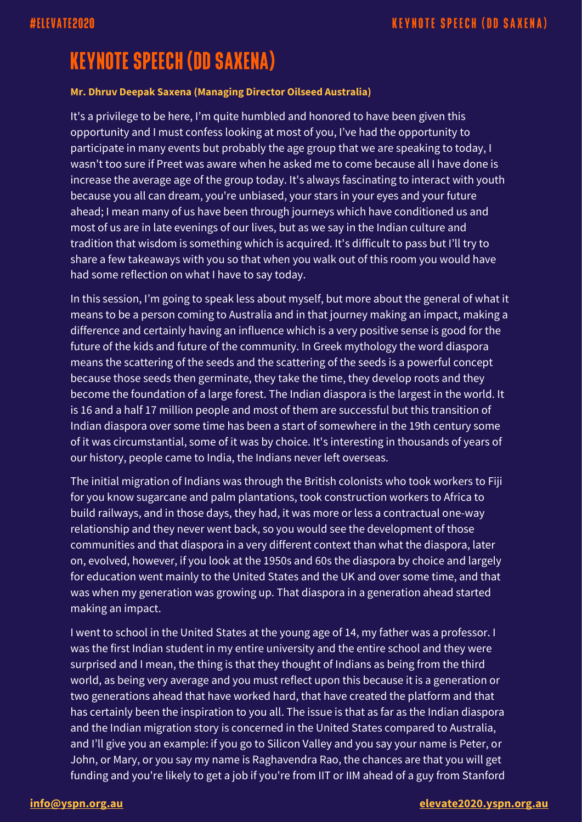# **KEYNOTE SPEECH (DD SAXENA)**

#### **Mr. Dhruv Deepak Saxena (Managing Director Oilseed Australia)**

It's a privilege to be here, I'm quite humbled and honored to have been given this opportunity and I must confess looking at most of you, I've had the opportunity to participate in many events but probably the age group that we are speaking to today, I wasn't too sure if Preet was aware when he asked me to come because all I have done is increase the average age of the group today. It's always fascinating to interact with youth because you all can dream, you're unbiased, your stars in your eyes and your future ahead; I mean many of us have been through journeys which have conditioned us and most of us are in late evenings of our lives, but as we say in the Indian culture and tradition that wisdom is something which is acquired. It's difficult to pass but I'll try to share a few takeaways with you so that when you walk out of this room you would have had some reflection on what I have to say today.

In this session, I'm going to speak less about myself, but more about the general of what it means to be a person coming to Australia and in that journey making an impact, making a difference and certainly having an influence which is a very positive sense is good for the future of the kids and future of the community. In Greek mythology the word diaspora means the scattering of the seeds and the scattering of the seeds is a powerful concept because those seeds then germinate, they take the time, they develop roots and they become the foundation of a large forest. The Indian diaspora is the largest in the world. It is 16 and a half 17 million people and most of them are successful but this transition of Indian diaspora over some time has been a start of somewhere in the 19th century some of it was circumstantial, some of it was by choice. It's interesting in thousands of years of our history, people came to India, the Indians never left overseas.

The initial migration of Indians was through the British colonists who took workers to Fiji for you know sugarcane and palm plantations, took construction workers to Africa to build railways, and in those days, they had, it was more or less a contractual one-way relationship and they never went back, so you would see the development of those communities and that diaspora in a very different context than what the diaspora, later on, evolved, however, if you look at the 1950s and 60s the diaspora by choice and largely for education went mainly to the United States and the UK and over some time, and that was when my generation was growing up. That diaspora in a generation ahead started making an impact.

I went to school in the United States at the young age of 14, my father was a professor. I was the first Indian student in my entire university and the entire school and they were surprised and I mean, the thing is that they thought of Indians as being from the third world, as being very average and you must reflect upon this because it is a generation or two generations ahead that have worked hard, that have created the platform and that has certainly been the inspiration to you all. The issue is that as far as the Indian diaspora and the Indian migration story is concerned in the United States compared to Australia, and I'll give you an example: if you go to Silicon Valley and you say your name is Peter, or John, or Mary, or you say my name is Raghavendra Rao, the chances are that you will get funding and you're likely to get a job if you're from IIT or IIM ahead of a guy from Stanford

### **[info@yspn.org.au](mailto:info@yspn.org.au) [elevate2020.yspn.org.au](https://elevate2020.yspn.org.au/)**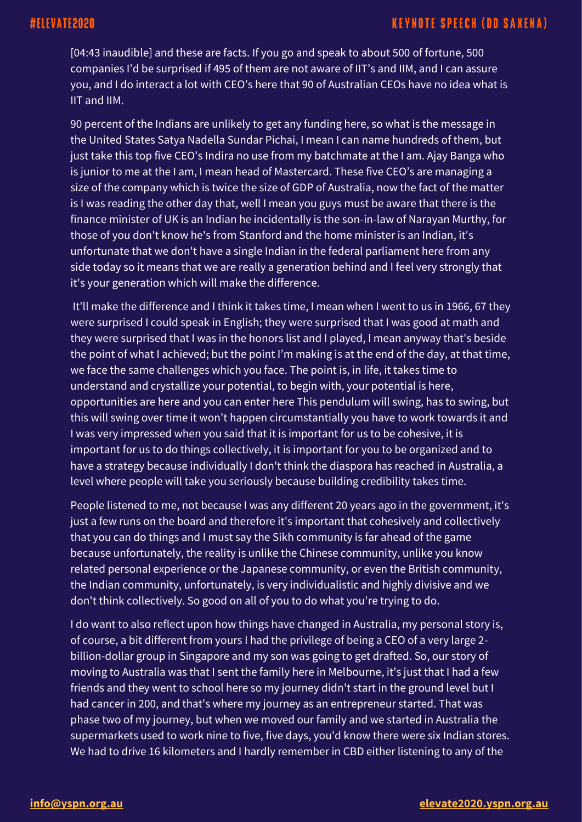[04:43 inaudible] and these are facts. If you go and speak to about 500 of fortune, 500 companies I'd be surprised if 495 of them are not aware of IIT's and IIM, and I can assure you, and I do interact a lot with CEO's here that 90 of Australian CEOs have no idea what is IIT and IIM.

90 percent of the Indians are unlikely to get any funding here, so what is the message in the United States Satya Nadella Sundar Pichai, I mean I can name hundreds of them, but just take this top five CEO's Indira no use from my batchmate at the I am. Ajay Banga who is junior to me at the I am, I mean head of Mastercard. These five CEO's are managing a size of the company which is twice the size of GDP of Australia, now the fact of the matter is I was reading the other day that, well I mean you guys must be aware that there is the finance minister of UK is an Indian he incidentally is the son-in-law of Narayan Murthy, for those of you don't know he's from Stanford and the home minister is an Indian, it's unfortunate that we don't have a single Indian in the federal parliament here from any side today so it means that we are really a generation behind and I feel very strongly that it's your generation which will make the difference.

It'll make the difference and I think it takes time, I mean when I went to us in 1966, 67 they were surprised I could speak in English; they were surprised that I was good at math and they were surprised that I was in the honors list and I played, I mean anyway that's beside the point of what I achieved; but the point I'm making is at the end of the day, at that time, we face the same challenges which you face. The point is, in life, it takes time to understand and crystallize your potential, to begin with, your potential is here, opportunities are here and you can enter here This pendulum will swing, has to swing, but this will swing over time it won't happen circumstantially you have to work towards it and I was very impressed when you said that it is important for us to be cohesive, it is important for us to do things collectively, it is important for you to be organized and to have a strategy because individually I don't think the diaspora has reached in Australia, a level where people will take you seriously because building credibility takes time.

People listened to me, not because I was any different 20 years ago in the government, it's just a few runs on the board and therefore it's important that cohesively and collectively that you can do things and I must say the Sikh community is far ahead of the game because unfortunately, the reality is unlike the Chinese community, unlike you know related personal experience or the Japanese community, or even the British community, the Indian community, unfortunately, is very individualistic and highly divisive and we don't think collectively. So good on all of you to do what you're trying to do.

I do want to also reflect upon how things have changed in Australia, my personal story is, of course, a bit different from yours I had the privilege of being a CEO of a very large 2 billion-dollar group in Singapore and my son was going to get drafted. So, our story of moving to Australia was that I sent the family here in Melbourne, it's just that I had a few friends and they went to school here so my journey didn't start in the ground level but I had cancer in 200, and that's where my journey as an entrepreneur started. That was phase two of my journey, but when we moved our family and we started in Australia the supermarkets used to work nine to five, five days, you'd know there were six Indian stores. We had to drive 16 kilometers and I hardly remember in CBD either listening to any of the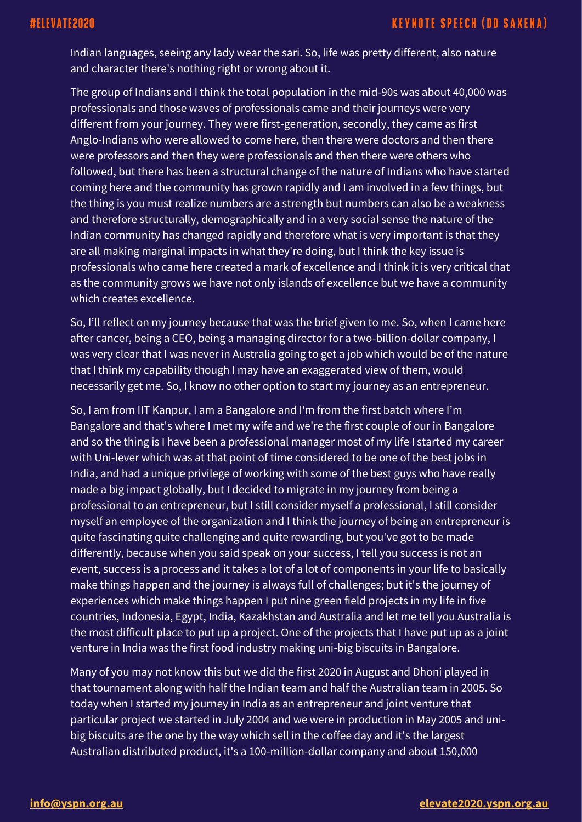# #ELEVATE2020

# **KEYNOTE SPEECH (DD SAXENA)**

Indian languages, seeing any lady wear the sari. So, life was pretty different, also nature and character there's nothing right or wrong about it.

The group of Indians and I think the total population in the mid-90s was about  $\overline{40,000}$  was professionals and those waves of professionals came and their journeys were very different from your journey. They were first-generation, secondly, they came as first Anglo-Indians who were allowed to come here, then there were doctors and then there were professors and then they were professionals and then there were others who followed, but there has been a structural change of the nature of Indians who have started coming here and the community has grown rapidly and I am involved in a few things, but the thing is you must realize numbers are a strength but numbers can also be a weakness and therefore structurally, demographically and in a very social sense the nature of the Indian community has changed rapidly and therefore what is very important is that they are all making marginal impacts in what they're doing, but I think the key issue is professionals who came here created a mark of excellence and I think it is very critical that as the community grows we have not only islands of excellence but we have a community which creates excellence.

So, I'll reflect on my journey because that was the brief given to me. So, when I came here after cancer, being a CEO, being a managing director for a two-billion-dollar company, I was very clear that I was never in Australia going to get a job which would be of the nature that I think my capability though I may have an exaggerated view of them, would necessarily get me. So, I know no other option to start my journey as an entrepreneur.

So, I am from IIT Kanpur, I am a Bangalore and I'm from the first batch where I'm Bangalore and that's where I met my wife and we're the first couple of our in Bangalore and so the thing is I have been a professional manager most of my life I started my career with Uni-lever which was at that point of time considered to be one of the best jobs in India, and had a unique privilege of working with some of the best guys who have really made a big impact globally, but I decided to migrate in my journey from being a professional to an entrepreneur, but I still consider myself a professional, I still consider myself an employee of the organization and I think the journey of being an entrepreneur is quite fascinating quite challenging and quite rewarding, but you've got to be made differently, because when you said speak on your success, I tell you success is not an event, success is a process and it takes a lot of a lot of components in your life to basically make things happen and the journey is always full of challenges; but it's the journey of experiences which make things happen I put nine green field projects in my life in five countries, Indonesia, Egypt, India, Kazakhstan and Australia and let me tell you Australia is the most difficult place to put up a project. One of the projects that I have put up as a joint venture in India was the first food industry making uni-big biscuits in Bangalore.

Many of you may not know this but we did the first 2020 in August and Dhoni played in that tournament along with half the Indian team and half the Australian team in 2005. So today when I started my journey in India as an entrepreneur and joint venture that particular project we started in July 2004 and we were in production in May 2005 and unibig biscuits are the one by the way which sell in the coffee day and it's the largest Australian distributed product, it's a 100-million-dollar company and about 150,000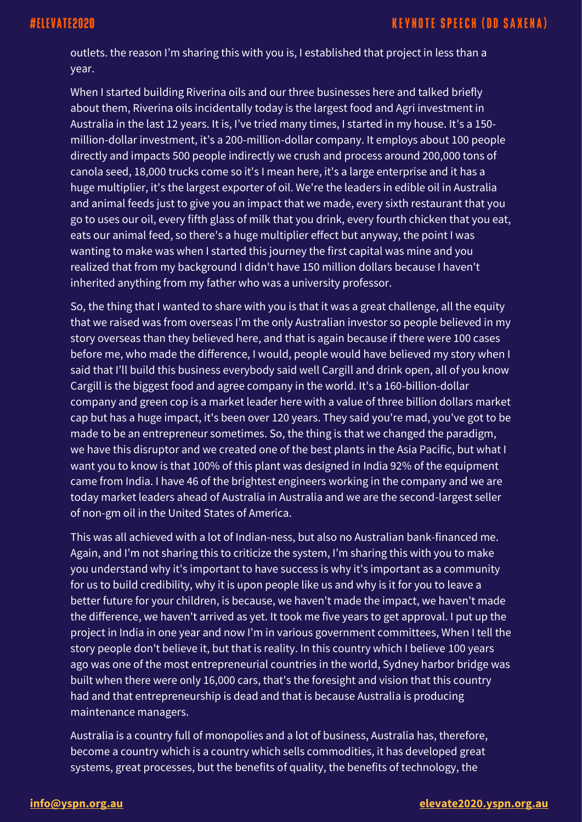outlets. the reason I'm sharing this with you is, I established that project in less than a year.

When I started building Riverina oils and our three businesses here and talked briefly about them, Riverina oils incidentally today is the largest food and Agri investment in Australia in the last 12 years. It is, I've tried many times, I started in my house. It's a 150 million-dollar investment, it's a 200-million-dollar company. It employs about 100 people directly and impacts 500 people indirectly we crush and process around 200,000 tons of canola seed, 18,000 trucks come so it's I mean here, it's a large enterprise and it has a huge multiplier, it's the largest exporter of oil. We're the leaders in edible oil in Australia and animal feeds just to give you an impact that we made, every sixth restaurant that you go to uses our oil, every fifth glass of milk that you drink, every fourth chicken that you eat, eats our animal feed, so there's a huge multiplier effect but anyway, the point I was wanting to make was when I started this journey the first capital was mine and you realized that from my background I didn't have 150 million dollars because I haven't inherited anything from my father who was a university professor.

So, the thing that I wanted to share with you is that it was a great challenge, all the equity that we raised was from overseas I'm the only Australian investor so people believed in my story overseas than they believed here, and that is again because if there were 100 cases before me, who made the difference, I would, people would have believed my story when I said that I'll build this business everybody said well Cargill and drink open, all of you know Cargill is the biggest food and agree company in the world. It's a 160-billion-dollar company and green cop is a market leader here with a value of three billion dollars market cap but has a huge impact, it's been over 120 years. They said you're mad, you've got to be made to be an entrepreneur sometimes. So, the thing is that we changed the paradigm, we have this disruptor and we created one of the best plants in the Asia Pacific, but what I want you to know is that 100% of this plant was designed in India 92% of the equipment came from India. I have 46 of the brightest engineers working in the company and we are today market leaders ahead of Australia in Australia and we are the second-largest seller of non-gm oil in the United States of America.

This was all achieved with a lot of Indian-ness, but also no Australian bank-financed me. Again, and I'm not sharing this to criticize the system, I'm sharing this with you to make you understand why it's important to have success is why it's important as a community for us to build credibility, why it is upon people like us and why is it for you to leave a better future for your children, is because, we haven't made the impact, we haven't made the difference, we haven't arrived as yet. It took me five years to get approval. I put up the project in India in one year and now I'm in various government committees, When I tell the story people don't believe it, but that is reality. In this country which I believe 100 years ago was one of the most entrepreneurial countries in the world, Sydney harbor bridge was built when there were only 16,000 cars, that's the foresight and vision that this country had and that entrepreneurship is dead and that is because Australia is producing maintenance managers.

Australia is a country full of monopolies and a lot of business, Australia has, therefore, become a country which is a country which sells commodities, it has developed great systems, great processes, but the benefits of quality, the benefits of technology, the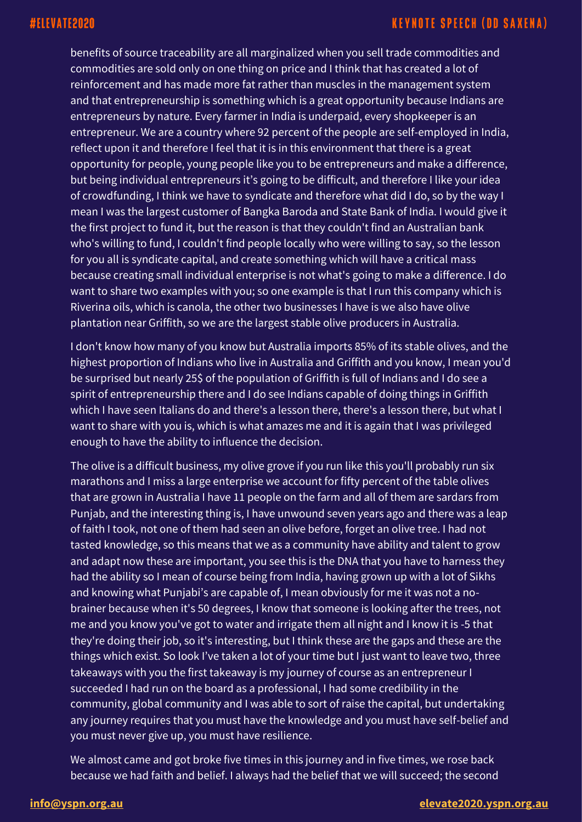# **KEYNOTE SPEECH (DD SAXENA)**

benefits of source traceability are all marginalized when you sell trade commodities and commodities are sold only on one thing on price and I think that has created a lot of reinforcement and has made more fat rather than muscles in the management system and that entrepreneurship is something which is a great opportunity because Indians are entrepreneurs by nature. Every farmer in India is underpaid, every shopkeeper is an entrepreneur. We are a country where 92 percent of the people are self-employed in India, reflect upon it and therefore I feel that it is in this environment that there is a great opportunity for people, young people like you to be entrepreneurs and make a difference, but being individual entrepreneurs it's going to be difficult, and therefore I like your idea of crowdfunding, I think we have to syndicate and therefore what did I do, so by the way I mean I was the largest customer of Bangka Baroda and State Bank of India. I would give it the first project to fund it, but the reason is that they couldn't find an Australian bank who's willing to fund, I couldn't find people locally who were willing to say, so the lesson for you all is syndicate capital, and create something which will have a critical mass because creating small individual enterprise is not what's going to make a difference. I do want to share two examples with you; so one example is that I run this company which is Riverina oils, which is canola, the other two businesses I have is we also have olive plantation near Griffith, so we are the largest stable olive producers in Australia.

I don't know how many of you know but Australia imports 85% of its stable olives, and the highest proportion of Indians who live in Australia and Griffith and you know, I mean you'd be surprised but nearly 25\$ of the population of Griffith is full of Indians and I do see a spirit of entrepreneurship there and I do see Indians capable of doing things in Griffith which I have seen Italians do and there's a lesson there, there's a lesson there, but what I want to share with you is, which is what amazes me and it is again that I was privileged enough to have the ability to influence the decision.

The olive is a difficult business, my olive grove if you run like this you'll probably run six marathons and I miss a large enterprise we account for fifty percent of the table olives that are grown in Australia I have 11 people on the farm and all of them are sardars from Punjab, and the interesting thing is, I have unwound seven years ago and there was a leap of faith I took, not one of them had seen an olive before, forget an olive tree. I had not tasted knowledge, so this means that we as a community have ability and talent to grow and adapt now these are important, you see this is the DNA that you have to harness they had the ability so I mean of course being from India, having grown up with a lot of Sikhs and knowing what Punjabi's are capable of, I mean obviously for me it was not a nobrainer because when it's 50 degrees, I know that someone is looking after the trees, not me and you know you've got to water and irrigate them all night and I know it is -5 that they're doing their job, so it's interesting, but I think these are the gaps and these are the things which exist. So look I've taken a lot of your time but I just want to leave two, three takeaways with you the first takeaway is my journey of course as an entrepreneur I succeeded I had run on the board as a professional, I had some credibility in the community, global community and I was able to sort of raise the capital, but undertaking any journey requires that you must have the knowledge and you must have self-belief and you must never give up, you must have resilience.

We almost came and got broke five times in this journey and in five times, we rose back because we had faith and belief. I always had the belief that we will succeed; the second